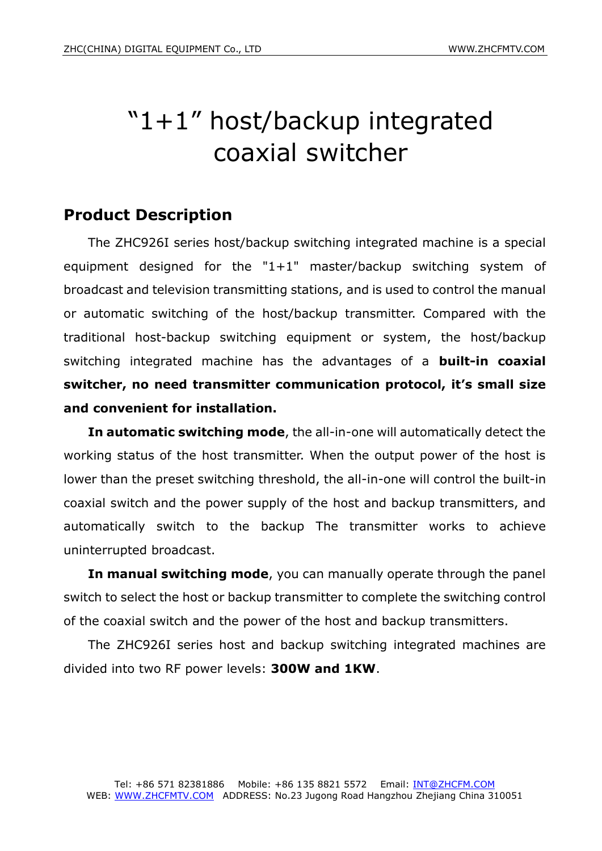# "1+1" host/backup integrated coaxial switcher

## **Product Description**

The ZHC926I series host/backup switching integrated machine is a special equipment designed for the "1+1" master/backup switching system of broadcast and television transmitting stations, and is used to control the manual or automatic switching of the host/backup transmitter. Compared with the traditional host-backup switching equipment or system, the host/backup switching integrated machine has the advantages of a **built-in coaxial switcher, no need transmitter communication protocol, it's small size and convenient for installation.**

**In automatic switching mode**, the all-in-one will automatically detect the working status of the host transmitter. When the output power of the host is lower than the preset switching threshold, the all-in-one will control the built-in coaxial switch and the power supply of the host and backup transmitters, and automatically switch to the backup The transmitter works to achieve uninterrupted broadcast.

**In manual switching mode**, you can manually operate through the panel switch to select the host or backup transmitter to complete the switching control of the coaxial switch and the power of the host and backup transmitters.

The ZHC926I series host and backup switching integrated machines are divided into two RF power levels: **300W and 1KW**.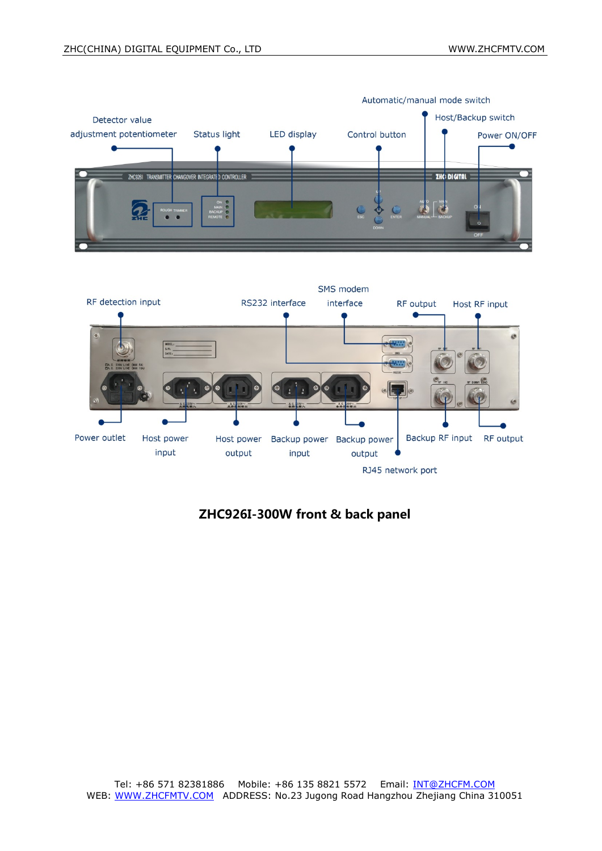

Automatic/manual mode switch



### ZHC926I-300W front & back panel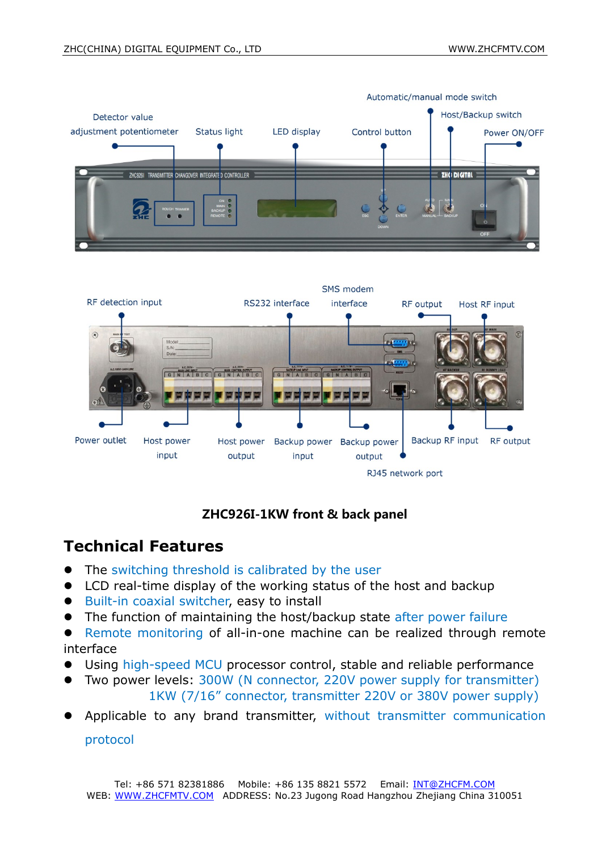



#### ZHC926I-1KW front & back panel

## **Technical Features**

- The switching threshold is calibrated by the user
- LCD real-time display of the working status of the host and backup
- Built-in coaxial switcher, easy to install
- The function of maintaining the host/backup state after power failure
- Remote monitoring of all-in-one machine can be realized through remote interface
- Using high-speed MCU processor control, stable and reliable performance
- Two power levels: 300W (N connector, 220V power supply for transmitter) 1KW (7/16" connector, transmitter 220V or 380V power supply)
- Applicable to any brand transmitter, without transmitter communication protocol

Tel: +86 571 82381886 Mobile: +86 135 8821 5572 Email: INT@ZHCFM.COM WEB: WWW.ZHCFMTV.COM ADDRESS: No.23 Jugong Road Hangzhou Zhejiang China 310051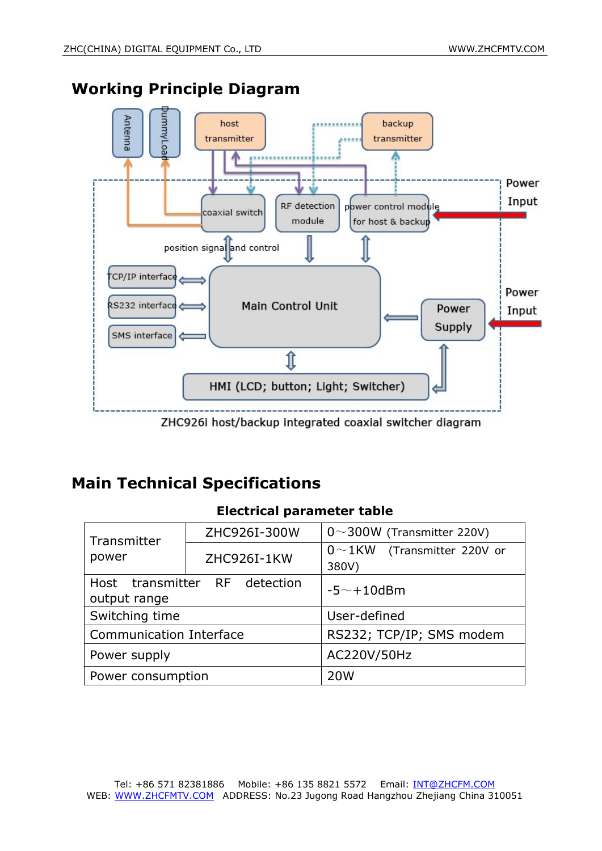

## **Working Principle Diagram**

ZHC926i host/backup integrated coaxial switcher diagram

## **Main Technical Specifications**

#### **Electrical parameter table**

| Transmitter<br>power                          | ZHC926I-300W | $0 \sim 300W$ (Transmitter 220V)   |
|-----------------------------------------------|--------------|------------------------------------|
|                                               | ZHC926I-1KW  | $0 \sim 1$ KW (Transmitter 220V or |
|                                               |              | 380V)                              |
| Host transmitter RF detection<br>output range |              | $-5$ $\sim$ $+10$ dBm              |
|                                               |              |                                    |
| <b>Communication Interface</b>                |              | RS232; TCP/IP; SMS modem           |
| Power supply                                  |              | AC220V/50Hz                        |
| Power consumption                             |              | 20 <sub>W</sub>                    |